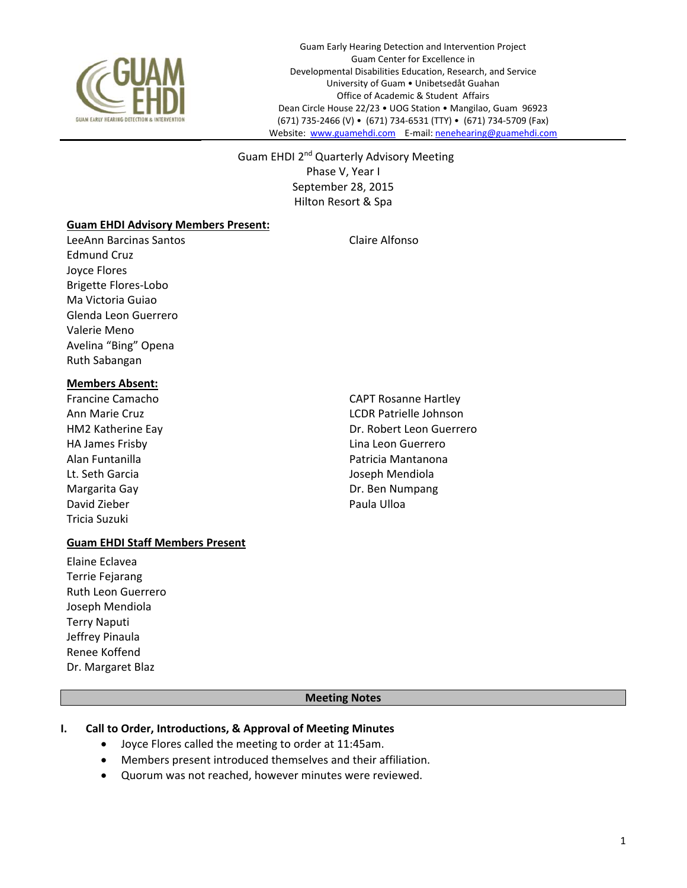

Guam Early Hearing Detection and Intervention Project Guam Center for Excellence in Developmental Disabilities Education, Research, and Service University of Guam • Unibetsedåt Guahan Office of Academic & Student Affairs Dean Circle House 22/23 • UOG Station • Mangilao, Guam 96923 (671) 735‐2466 (V) • (671) 734‐6531 (TTY) • (671) 734‐5709 (Fax) Website: www.guamehdi.com E-mail: nenehearing@guamehdi.com

Guam EHDI 2<sup>nd</sup> Quarterly Advisory Meeting Phase V, Year I September 28, 2015 Hilton Resort & Spa

#### **Guam EHDI Advisory Members Present:**

LeeAnn Barcinas Santos Claire Alfonso Edmund Cruz Joyce Flores Brigette Flores‐Lobo Ma Victoria Guiao Glenda Leon Guerrero Valerie Meno Avelina "Bing" Opena Ruth Sabangan

#### **Members Absent:**

Francine Camacho CAPT Rosanne Hartley HA James Frisby Lina Leon Guerrero Lt. Seth Garcia **Joseph Mendiola** Margarita Gay **Dr. Ben Numpang** David Zieber **Natural Experience Controllering Controllering Controllering Controllering Paula Ulloa** Tricia Suzuki

## **Guam EHDI Staff Members Present**

- Elaine Eclavea Terrie Fejarang Ruth Leon Guerrero Joseph Mendiola Terry Naputi Jeffrey Pinaula Renee Koffend Dr. Margaret Blaz
- Ann Marie Cruz LCDR Patrielle Johnson HM2 Katherine Eay **Dr. Robert Leon Guerrero** Alan Funtanilla Patricia Mantanona

### **Meeting Notes**

### **I. Call to Order, Introductions, & Approval of Meeting Minutes**

- Joyce Flores called the meeting to order at 11:45am.
- Members present introduced themselves and their affiliation.
- Quorum was not reached, however minutes were reviewed.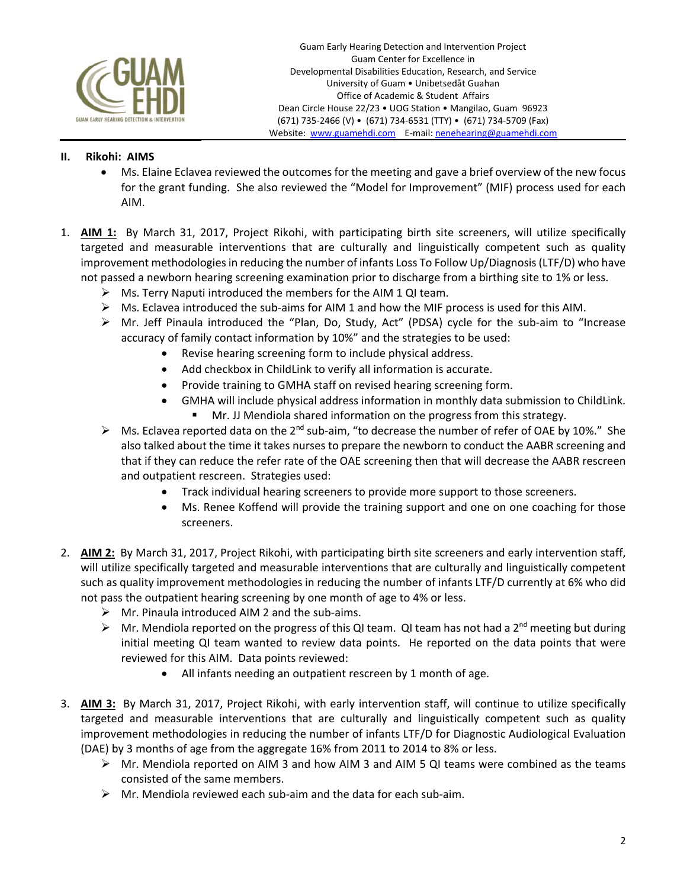

## **II. Rikohi: AIMS**

- Ms. Elaine Eclavea reviewed the outcomes for the meeting and gave a brief overview of the new focus for the grant funding. She also reviewed the "Model for Improvement" (MIF) process used for each AIM.
- 1. AIM 1: By March 31, 2017, Project Rikohi, with participating birth site screeners, will utilize specifically targeted and measurable interventions that are culturally and linguistically competent such as quality improvement methodologies in reducing the number of infants Loss To Follow Up/Diagnosis (LTF/D) who have not passed a newborn hearing screening examination prior to discharge from a birthing site to 1% or less.
	- $\triangleright$  Ms. Terry Naputi introduced the members for the AIM 1 QI team.
	- $\triangleright$  Ms. Eclavea introduced the sub-aims for AIM 1 and how the MIF process is used for this AIM.
	- Mr. Jeff Pinaula introduced the "Plan, Do, Study, Act" (PDSA) cycle for the sub‐aim to "Increase accuracy of family contact information by 10%" and the strategies to be used:
		- Revise hearing screening form to include physical address.
		- Add checkbox in ChildLink to verify all information is accurate.
		- Provide training to GMHA staff on revised hearing screening form.
		- GMHA will include physical address information in monthly data submission to ChildLink.
			- Mr. JJ Mendiola shared information on the progress from this strategy.
	- $▶$  Ms. Eclavea reported data on the 2<sup>nd</sup> sub-aim, "to decrease the number of refer of OAE by 10%." She also talked about the time it takes nurses to prepare the newborn to conduct the AABR screening and that if they can reduce the refer rate of the OAE screening then that will decrease the AABR rescreen and outpatient rescreen. Strategies used:
		- Track individual hearing screeners to provide more support to those screeners.
		- Ms. Renee Koffend will provide the training support and one on one coaching for those screeners.
- 2. **AIM 2:** By March 31, 2017, Project Rikohi, with participating birth site screeners and early intervention staff, will utilize specifically targeted and measurable interventions that are culturally and linguistically competent such as quality improvement methodologies in reducing the number of infants LTF/D currently at 6% who did not pass the outpatient hearing screening by one month of age to 4% or less.
	- $\triangleright$  Mr. Pinaula introduced AIM 2 and the sub-aims.
	- $\triangleright$  Mr. Mendiola reported on the progress of this QI team. QI team has not had a 2<sup>nd</sup> meeting but during initial meeting QI team wanted to review data points. He reported on the data points that were reviewed for this AIM. Data points reviewed:
		- All infants needing an outpatient rescreen by 1 month of age.
- 3. **AIM 3:** By March 31, 2017, Project Rikohi, with early intervention staff, will continue to utilize specifically targeted and measurable interventions that are culturally and linguistically competent such as quality improvement methodologies in reducing the number of infants LTF/D for Diagnostic Audiological Evaluation (DAE) by 3 months of age from the aggregate 16% from 2011 to 2014 to 8% or less.
	- $\triangleright$  Mr. Mendiola reported on AIM 3 and how AIM 3 and AIM 5 QI teams were combined as the teams consisted of the same members.
	- $\triangleright$  Mr. Mendiola reviewed each sub-aim and the data for each sub-aim.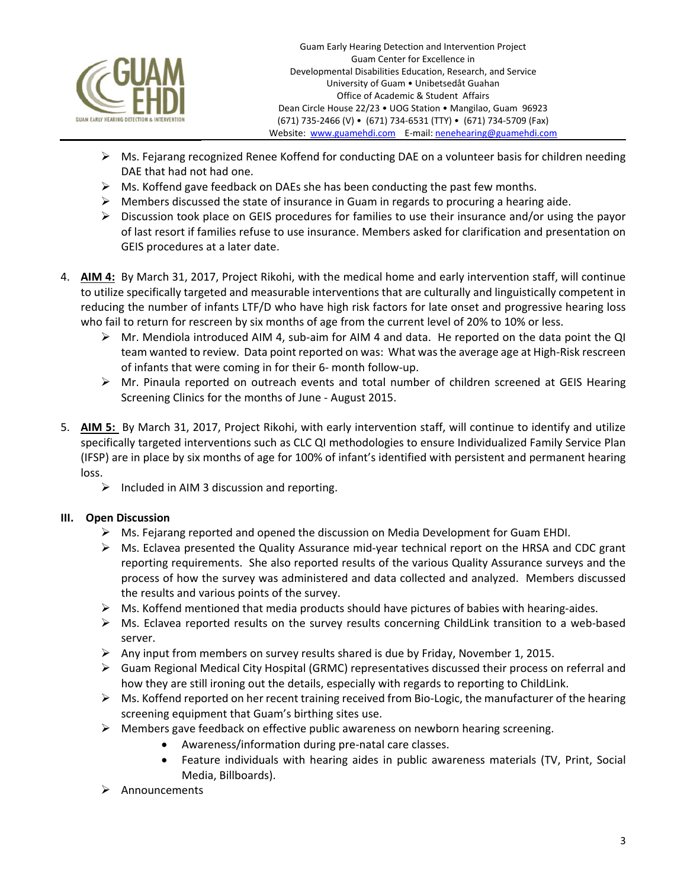

- $\triangleright$  Ms. Fejarang recognized Renee Koffend for conducting DAE on a volunteer basis for children needing DAE that had not had one.
- $\triangleright$  Ms. Koffend gave feedback on DAEs she has been conducting the past few months.
- $\triangleright$  Members discussed the state of insurance in Guam in regards to procuring a hearing aide.
- $\triangleright$  Discussion took place on GEIS procedures for families to use their insurance and/or using the payor of last resort if families refuse to use insurance. Members asked for clarification and presentation on GEIS procedures at a later date.
- 4. **AIM 4:** By March 31, 2017, Project Rikohi, with the medical home and early intervention staff, will continue to utilize specifically targeted and measurable interventions that are culturally and linguistically competent in reducing the number of infants LTF/D who have high risk factors for late onset and progressive hearing loss who fail to return for rescreen by six months of age from the current level of 20% to 10% or less.
	- $\triangleright$  Mr. Mendiola introduced AIM 4, sub-aim for AIM 4 and data. He reported on the data point the QI team wanted to review. Data point reported on was: What was the average age at High‐Risk rescreen of infants that were coming in for their 6‐ month follow‐up.
	- Mr. Pinaula reported on outreach events and total number of children screened at GEIS Hearing Screening Clinics for the months of June ‐ August 2015.
- 5. **AIM 5:**  By March 31, 2017, Project Rikohi, with early intervention staff, will continue to identify and utilize specifically targeted interventions such as CLC QI methodologies to ensure Individualized Family Service Plan (IFSP) are in place by six months of age for 100% of infant's identified with persistent and permanent hearing loss.
	- $\triangleright$  Included in AIM 3 discussion and reporting.

# **III. Open Discussion**

- $\triangleright$  Ms. Fejarang reported and opened the discussion on Media Development for Guam EHDI.
- Ms. Eclavea presented the Quality Assurance mid‐year technical report on the HRSA and CDC grant reporting requirements.She also reported results of the various Quality Assurance surveys and the process of how the survey was administered and data collected and analyzed. Members discussed the results and various points of the survey.
- Ms. Koffend mentioned that media products should have pictures of babies with hearing‐aides.
- $\triangleright$  Ms. Eclavea reported results on the survey results concerning ChildLink transition to a web-based server.
- Any input from members on survey results shared is due by Friday, November 1, 2015.
- $\triangleright$  Guam Regional Medical City Hospital (GRMC) representatives discussed their process on referral and how they are still ironing out the details, especially with regards to reporting to ChildLink.
- Ms. Koffend reported on her recent training received from Bio‐Logic, the manufacturer of the hearing screening equipment that Guam's birthing sites use.
- $\triangleright$  Members gave feedback on effective public awareness on newborn hearing screening.
	- Awareness/information during pre‐natal care classes.
	- Feature individuals with hearing aides in public awareness materials (TV, Print, Social Media, Billboards).
- $\triangleright$  Announcements